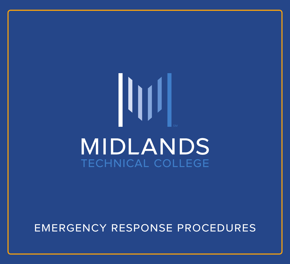# $\vert \vert \vert \vert \vert$ **MIDLANDS TECHNICAL COLLEGE**

### emergency response procedures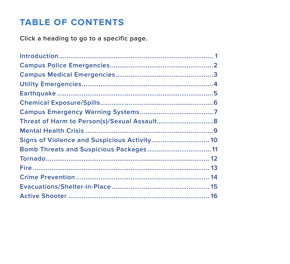### <span id="page-1-0"></span>**TABLE OF CONTENTS**

Click a heading to go to a specific page.

| Bomb Threats and Suspicious Packages 11 |  |
|-----------------------------------------|--|
|                                         |  |
|                                         |  |
|                                         |  |
|                                         |  |
|                                         |  |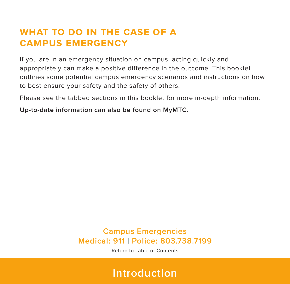### <span id="page-2-0"></span>**what to do in the case of a campus emergency**

If you are in an emergency situation on campus, acting quickly and appropriately can make a positive difference in the outcome. This booklet outlines some potential campus emergency scenarios and instructions on how to best ensure your safety and the safety of others.

Please see the tabbed sections in this booklet for more in-depth information.

**Up-to-date information can also be found on MyMTC.**

**Campus Emergencies Medical: 911 | Police: 803.738.7199**

[Return to Table of Contents](#page-1-0)

**Introduction**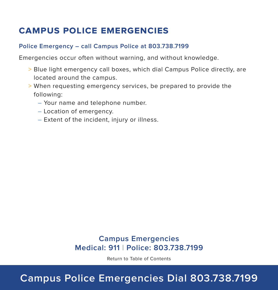### <span id="page-3-0"></span>**campus police emergencies**

#### **Police Emergency – call Campus Police at 803.738.7199**

Emergencies occur often without warning, and without knowledge.

- > Blue light emergency call boxes, which dial Campus Police directly, are located around the campus.
- > When requesting emergency services, be prepared to provide the following:
	- Your name and telephone number.
	- Location of emergency.
	- Extent of the incident, injury or illness.

### **Campus Emergencies Medical: 911 | Police: 803.738.7199**

[Return to Table of Contents](#page-1-0)

# **Campus Police Emergencies Dial 803.738.7199**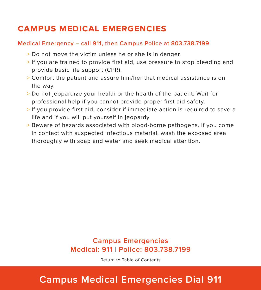### <span id="page-4-0"></span>**campus medical emergencies**

#### **Medical Emergency – call 911, then Campus Police at 803.738.7199**

- > Do not move the victim unless he or she is in danger.
- > If you are trained to provide first aid, use pressure to stop bleeding and provide basic life support (CPR).
- > Comfort the patient and assure him/her that medical assistance is on the way.
- > Do not jeopardize your health or the health of the patient. Wait for professional help if you cannot provide proper first aid safety.
- > If you provide first aid, consider if immediate action is required to save a life and if you will put yourself in jeopardy.
- > Beware of hazards associated with blood-borne pathogens. If you come in contact with suspected infectious material, wash the exposed area thoroughly with soap and water and seek medical attention.

### **Campus Emergencies Medical: 911 | Police: 803.738.7199**

[Return to Table of Contents](#page-1-0)

# **Campus Medical Emergencies Dial 911**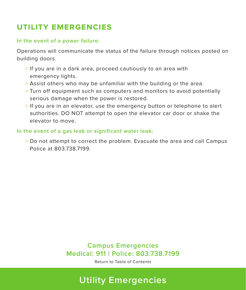### <span id="page-5-0"></span>**utility emergencies**

#### **In the event of a power failure:**

Operations will communicate the status of the failure through notices posted on building doors.

- > If you are in a dark area, proceed cautiously to an area with emergency lights.
- > Assist others who may be unfamiliar with the building or the area.
- > Turn off equipment such as computers and monitors to avoid potentially serious damage when the power is restored.
- > If you are in an elevator, use the emergency button or telephone to alert authorities. DO NOT attempt to open the elevator car door or shake the elevator to move.

#### **In the event of a gas leak or significant water leak:**

> Do not attempt to correct the problem. Evacuate the area and call Campus Police at 803.738.7199.

### **Campus Emergencies Medical: 911 | Police: 803.738.7199**

[Return to Table of Contents](#page-1-0)

# **Utility Emergencies**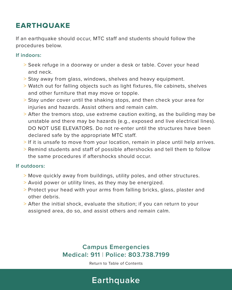### <span id="page-6-0"></span>**earthquake**

If an earthquake should occur, MTC staff and students should follow the procedures below.

#### **If indoors:**

- > Seek refuge in a doorway or under a desk or table. Cover your head and neck.
- > Stay away from glass, windows, shelves and heavy equipment.
- > Watch out for falling objects such as light fixtures, file cabinets, shelves and other furniture that may move or topple.
- > Stay under cover until the shaking stops, and then check your area for injuries and hazards. Assist others and remain calm.
- > After the tremors stop, use extreme caution exiting, as the building may be unstable and there may be hazards (e.g., exposed and live electrical lines). DO NOT USE ELEVATORS. Do not re-enter until the structures have been declared safe by the appropriate MTC staff.
- > If it is unsafe to move from your location, remain in place until help arrives.
- > Remind students and staff of possible aftershocks and tell them to follow the same procedures if aftershocks should occur.

#### **If outdoors:**

- > Move quickly away from buildings, utility poles, and other structures.
- > Avoid power or utility lines, as they may be energized.
- > Protect your head with your arms from falling bricks, glass, plaster and other debris.
- > After the initial shock, evaluate the sitution; if you can return to your assigned area, do so, and assist others and remain calm.

### **Campus Emergencies Medical: 911 | Police: 803.738.7199**

[Return to Table of Contents](#page-1-0)

# **Earthquake**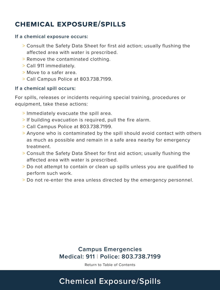### <span id="page-7-0"></span>**chemical exposure/spills**

#### **If a chemical exposure occurs:**

- > Consult the Safety Data Sheet for first aid action; usually flushing the affected area with water is prescribed.
- > Remove the contaminated clothing.
- > Call 911 immediately.
- > Move to a safer area.
- > Call Campus Police at 803.738.7199.

#### **If a chemical spill occurs:**

For spills, releases or incidents requiring special training, procedures or equipment, take these actions:

- > Immediately evacuate the spill area.
- > If building evacuation is required, pull the fire alarm.
- > Call Campus Police at 803.738.7199.
- > Anyone who is contaminated by the spill should avoid contact with others as much as possible and remain in a safe area nearby for emergency treatment.
- > Consult the Safety Data Sheet for first aid action; usually flushing the affected area with water is prescribed.
- > Do not attempt to contain or clean up spills unless you are qualified to perform such work.
- > Do not re-enter the area unless directed by the emergency personnel.

### **Campus Emergencies Medical: 911 | Police: 803.738.7199**

[Return to Table of Contents](#page-1-0)

# **Chemical Exposure/Spills**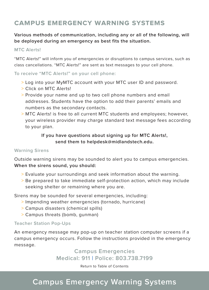### <span id="page-8-0"></span>**campus emergency warning systems**

**Various methods of communication, including any or all of the following, will be deployed during an emergency as best fits the situation.**

#### **MTC Alerts!**

"MTC Alerts!" will inform you of emergencies or disruptions to campus services, such as class cancellations. "MTC Alerts!" are sent as text messages to your cell phone.

**To receive "MTC Alerts!" on your cell phone:** 

- > Log into your MyMTC account with your MTC user ID and password.
- > Click on MTC Alerts!
- > Provide your name and up to two cell phone numbers and email addresses. Students have the option to add their parents' emails and numbers as the secondary contacts.
- > MTC Alerts! is free to all current MTC students and employees; however, your wireless provider may charge standard text message fees according to your plan.

#### **If you have questions about signing up for MTC Alerts!, send them to helpdesk@midlandstech.edu.**

#### **Warning Sirens**

Outside warning sirens may be sounded to alert you to campus emergencies. **When the sirens sound, you should:** 

- > Evaluate your surroundings and seek information about the warning.
- > Be prepared to take immediate self-protection action, which may include seeking shelter or remaining where you are.

Sirens may be sounded for several emergencies, including:

- > Impending weather emergencies (tornado, hurricane)
- > Campus disasters (chemical spills)
- > Campus threats (bomb, gunman)

#### **Teacher Station Pop-Ups**

An emergency message may pop-up on teacher station computer screens if a campus emergency occurs. Follow the instructions provided in the emergency message.

> **Campus Emergencies Medical: 911 | Police: 803.738.7199**

> > [Return to Table of Contents](#page-1-0)

# **Campus Emergency Warning Systems**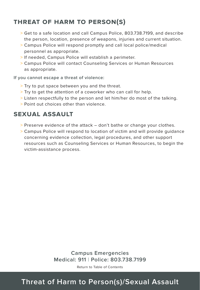### <span id="page-9-0"></span>**threat of harm to person(s)**

- > Get to a safe location and call Campus Police, 803.738.7199, and describe the person, location, presence of weapons, injuries and current situation.
- > Campus Police will respond promptly and call local police/medical personnel as appropriate.
- > If needed, Campus Police will establish a perimeter.
- > Campus Police will contact Counseling Services or Human Resources as appropriate.

**If you cannot escape a threat of violence:** 

- > Try to put space between you and the threat.
- > Try to get the attention of a coworker who can call for help.
- > Listen respectfully to the person and let him/her do most of the talking.
- > Point out choices other than violence.

### **sexual assault**

- > Preserve evidence of the attack don't bathe or change your clothes.
- > Campus Police will respond to location of victim and will provide guidance concerning evidence collection, legal procedures, and other support resources such as Counseling Services or Human Resources, to begin the victim-assistance process.

**Campus Emergencies Medical: 911 | Police: 803.738.7199**

[Return to Table of Contents](#page-1-0)

# **Threat of Harm to Person(s)/Sexual Assault**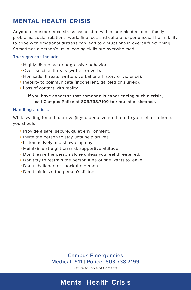### <span id="page-10-0"></span>**mental health crisis**

Anyone can experience stress associated with academic demands, family problems, social relations, work, finances and cultural experiences. The inability to cope with emotional distress can lead to disruptions in overall functioning. Sometimes a person's usual coping skills are overwhelmed.

#### **The signs can include:**

- > Highly disruptive or aggressive behavior.
- > Overt suicidal threats (written or verbal).
- > Homicidal threats (written, verbal or a history of violence).
- > Inability to communicate (incoherent, garbled or slurred).
- > Loss of contact with reality.

#### **If you have concerns that someone is experiencing such a crisis, call Campus Police at 803.738.7199 to request assistance.**

#### **Handling a crisis:**

While waiting for aid to arrive (if you perceive no threat to yourself or others), you should:

- > Provide a safe, secure, quiet environment.
- > Invite the person to stay until help arrives.
- > Listen actively and show empathy.
- > Maintain a straightforward, supportive attitude.
- > Don't leave the person alone unless you feel threatened.
- > Don't try to restrain the person if he or she wants to leave.
- > Don't challenge or shock the person.
- > Don't minimize the person's distress.

**Campus Emergencies Medical: 911 | Police: 803.738.7199**

[Return to Table of Contents](#page-1-0)

# **Mental Health Crisis**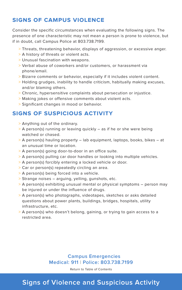### <span id="page-11-0"></span>**signs of campus violence**

Consider the specific circumstances when evaluating the following signs. The presence of one characteristic may not mean a person is prone to violence, but if in doubt, call Campus Police at 803.738.7199.

- > Threats, threatening behavior, displays of aggression, or excessive anger.
- > A history of threats or violent acts.
- > Unusual fascination with weapons.
- > Verbal abuse of coworkers and/or customers, or harassment via phone/email.
- > Bizarre comments or behavior, especially if it includes violent content.
- > Holding grudges, inability to handle criticism, habitually making excuses, and/or blaming others.
- > Chronic, hypersensitive complaints about persecution or injustice.
- > Making jokes or offensive comments about violent acts.
- > Significant changes in mood or behavior.

### **signs of suspicious activity**

- > Anything out of the ordinary.
- > A person(s) running or leaving quickly as if he or she were being watched or chased.
- > A person(s) hauling property lab equipment, laptops, books, bikes at an unusual time or location.
- > A person(s) going door-to-door in an office suite.
- > A person(s) pulling car door handles or looking into multiple vehicles.
- > A person(s) forcibly entering a locked vehicle or door.
- > Car or person(s) repeatedly circling an area.
- > A person(s) being forced into a vehicle.
- > Strange noises arguing, yelling, gunshots, etc.
- > A person(s) exhibiting unusual mental or physical symptoms person may be injured or under the influence of drugs.
- > A person(s) who photographs, videotapes, sketches or asks detailed questions about power plants, buildings, bridges, hospitals, utility infrastructure, etc.
- > A person(s) who doesn't belong, gaining, or trying to gain access to a restricted area.

### **Campus Emergencies Medical: 911 | Police: 803.738.7199**

[Return to Table of Contents](#page-1-0)

# **Signs of Violence and Suspicious Activity**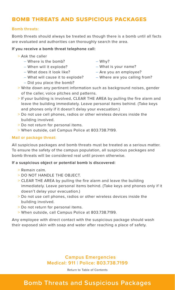### <span id="page-12-0"></span>**bomb threats and suspicious packages**

#### **Bomb threats:**

Bomb threats should always be treated as though there is a bomb until all facts are evaluated and authorities can thoroughly search the area.

#### **If you receive a bomb threat telephone call:**

- > Ask the caller
	- Where is the bomb?
	- When will it explode?
	- What does it look like?
	- What will cause it to explode?
	- Did you place the bomb?
- Why?
- What is your name?
- Are you an employee?
- Where are you calling from?
- > Write down any pertinent information such as background noises, gender of the caller, voice pitches and patterns.
- > If your building is involved, CLEAR THE AREA by pulling the fire alarm and leave the building immediately. Leave personal items behind. (Take keys and phones only if it doesn't delay your evacuation.)
- > Do not use cell phones, radios or other wireless devices inside the building involved.
- > Do not return for personal items.
- > When outside, call Campus Police at 803.738.7199.

#### **Mail or package threat:**

All suspicious packages and bomb threats must be treated as a serious matter. To ensure the safety of the campus population, all suspicious packages and bomb threats will be considered real until proven otherwise.

#### **If a suspicious object or potential bomb is discovered:**

- > Remain calm.
- > DO NOT HANDLE THE OBJECT.
- > CLEAR THE AREA by pulling the fire alarm and leave the building immediately. Leave personal items behind. (Take keys and phones only if it doesn't delay your evacuation.)
- > Do not use cell phones, radios or other wireless devices inside the building involved.
- > Do not return for personal items.
- > When outside, call Campus Police at 803.738.7199.

Any employee with direct contact with the suspicious package should wash their exposed skin with soap and water after reaching a place of safety.

### **Campus Emergencies Medical: 911 | Police: 803.738.7199**

[Return to Table of Contents](#page-1-0)

## **Bomb Threats and Suspicious Packages**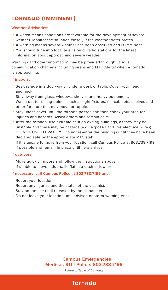## <span id="page-13-0"></span>**tornado (imminent)**

#### **Weather Advisories:**

- > A watch means conditions are favorable for the development of severe weather. Monitor the situation closely if the weather deteriorates.
- > A warning means severe weather has been observed and is imminent.
- > You should tune into local television or radio stations for the latest information about approaching severe weather.

Warnings and other information may be provided through various communication channels including sirens and MTC Alerts! when a tornado is approaching.

#### **If indoors:**

- > Seek refuge in a doorway or under a desk or table. Cover your head and neck.
- > Stay away from glass, windows, shelves and heavy equipment.
- > Watch out for falling objects such as light fixtures, file cabinets, shelves and other furniture that may move or topple.
- > Stay under cover until the tornado passes and then check your area for injuries and hazards. Assist others and remain calm.
- > After the tornado, use extreme caution exiting buildings, as they may be unstable and there may be hazards (e.g., exposed and live electrical wires). DO NOT USE ELEVATORS. Do not re-enter the buildings until they have been declared safe by the appropriate MTC staff.
- > If it is unsafe to move from your location, call Campus Police at 803.738.7199 if possible and remain in place until help arrives.

#### **If outdoors:**

- > Move quickly indoors and follow the instructions above.
- > If unable to move indoors, lie flat in a ditch or low area.

#### **If necessary, call Campus Police at 803.738.7199 and:**

- > Report your location.
- > Report any injuries and the status of the victim(s).
- > Stay on the line until released by the dispatcher.
- > Do not leave your location until advised or storm-warning ends.

#### **Campus Emergencies Medical: 911 | Police: 803.738.7199**

[Return to Table of Contents](#page-1-0)

# **Tornado**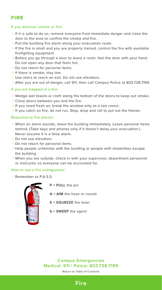### <span id="page-14-0"></span>**fire**

#### **If you discover smoke or fire:**

- > If it is safe to do so, remove everyone from immediate danger and close the door to the area to confine the smoke and fire.
- > Pull the building fire alarm along your evacuation route.
- > If the fire is small and you are properly trained, control the fire with available firefighting equipment.
- > Before you go through a door to leave a room, feel the door with your hand. Do not open any door that feels hot.
- > Do not return for personal items.
- > If there is smoke, stay low.
- > Use stairs to reach an exit. Do not use elevators.
- > After you are out of danger, call 911, then call Campus Police at 803.738.7199.

#### **If you are trapped in a fire:**

- > Wedge wet towels or cloth along the bottom of the doors to keep out smoke.
- > Close doors between you and the fire.
- > If you need fresh air, break the window only as a last resort.
- > If you catch on fire, do not run. Stop, drop and roll to put out the flames.

#### **Response to fire alarms:**

- > When an alarm sounds, leave the building immediately. Leave personal items behind. (Take keys and phones only if it doesn't delay your evacuation.) Never assume it is a false alarm.
- > Do not use elevators.
- > Do not return for personal items.
- > Help people unfamiliar with the building or people with disabilities escape the building.
- > When you are outside, check in with your supervisor, department personnel or instructor so everyone can be accounted for.

#### **How to use a fire extinguisher:**

> Remember to P.A.S.S.



**P = PULL** the pin

**A = AIM** the hose or nozzle

**S = SQUEEZE** the lever

**S = SWEEP** the agent

**Campus Emergencies Medical: 911 | Police: 803.738.7199**

[Return to Table of Contents](#page-1-0)

### **Fire**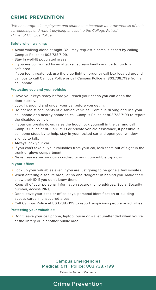### <span id="page-15-0"></span>**crime prevention**

"We encourage all employees and students to increase their awareness of their surroundings and report anything unusual to the College Police." - Chief of Campus Police

#### **Safety when walking:**

- > Avoid walking alone at night. You may request a campus escort by calling Campus Police at 803.738.7199.
- > Stay in well-lit populated areas.
- > If you are confronted by an attacker, scream loudly and try to run to a safe area.
- > If you feel threatened, use the blue-light emergency call box located around campus to call Campus Police or call Campus Police at 803.738.7199 from a cell phone.

#### **Protecting you and your vehicle:**

- > Have your keys ready before you reach your car so you can open the door quickly.
- > Look in, around and under your car before you get in.
- > Do not assist occupants of disabled vehicles. Continue driving and use your cell phone or a nearby phone to call Campus Police at 803.738.7199 to report the disabled vehicle.
- > If your car breaks down, raise the hood, lock yourself in the car and call Campus Police at 803.738.7199 or private vehicle assistance, if possible. If someone stops by to help, stay in your locked car and open your window slightly to talk.
- > Always lock your car.
- > If you can't take all your valuables from your car, lock them out of sight in the trunk or glove compartment.
- > Never leave your windows cracked or your convertible top down.

#### **In your office:**

- > Lock up your valuables even if you are just going to be gone a few minutes.
- > When entering a secure area, let no one "tailgate" in behind you. Make them show their ID if you don't know them.
- > Keep all of your personal information secure (home address, Social Security number, access PINs).
- > Don't leave your desk or office keys, personal identification or buildingaccess cards in unsecured areas.
- > Call Campus Police at 803.738.7199 to report suspicious people or activities.

#### **Protecting your valuables:**

> Don't leave your cell phone, laptop, purse or wallet unattended when you're at the library or in another public area.

> **Campus Emergencies Medical: 911 | Police: 803.738.7199**

> > [Return to Table of Contents](#page-1-0)

# **Crime Prevention**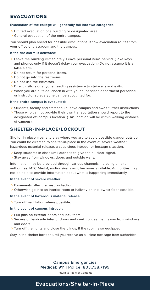### <span id="page-16-0"></span>**evacuations**

#### **Evacuation of the college will generally fall into two categories:**

- > Limited evacuation of a building or designated area.
- > General evacuation of the entire campus.

You should plan ahead for possible evacuations. Know evacuation routes from your office or classroom and the campus.

#### **If the fire alarm is activated:**

- > Leave the building immediately. Leave personal items behind. (Take keys and phones only if it doesn't delay your evacuation.) Do not assume it is a false alarm.
- > Do not return for personal items.
- > Do not go into the restrooms.
- > Do not use the elevators.
- > Direct visitors or anyone needing assistance to stairwells and exits.
- > When you are outside, check in with your supervisor, department personnel or instructor so everyone can be accounted for.

#### **If the entire campus is evacuated:**

- > Students, faculty and staff should leave campus and await further instructions.
- > Those who cannot provide their own transportation should report to the designated off-campus location. (This location will be within walking distance of campus).

### **shelter-in-place/lockout**

Shelter-in-place means to stay where you are to avoid possible danger outside. You could be directed to shelter-in-place in the event of severe weather, hazardous material release, a suspicious intruder or hostage situation.

- > Keep students in class until authorities give the all-clear signal.
- > Stay away from windows, doors and outside walls.

Information may be provided through various channels including on-site authorities, MTC Alerts!, and/or sirens as it becomes available. Authorities may not be able to provide information about what is happening immediately.

#### **In the event of severe weather:**

- > Basements offer the best protection.
- > Otherwise go into an interior room or hallway on the lowest floor possible.

#### **In the event of hazardous material release:**

> Turn off ventilation where possible.

#### **In the event of campus intruder:**

- > Pull pins on exterior doors and lock them.
- > Secure or barricade interior doors and seek concealment away from windows and doors.
- > Turn off the lights and close the blinds, if the room is so equipped.

Stay in the shelter location until you receive an all-clear message from authorities.

### **Campus Emergencies Medical: 911 | Police: 803.738.7199**

[Return to Table of Contents](#page-1-0)

### **Evacuations/Shelter-in-Place**